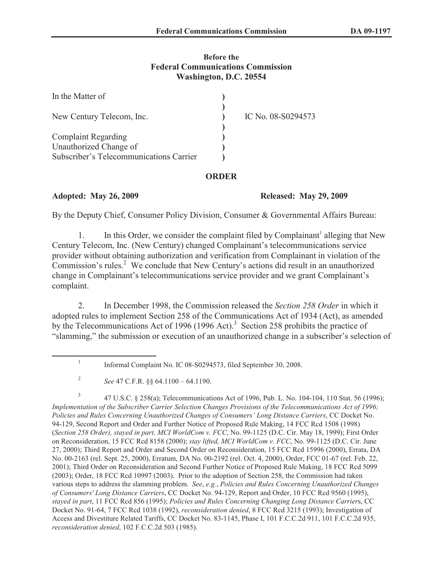## **Before the Federal Communications Commission Washington, D.C. 20554**

| In the Matter of                        |                    |
|-----------------------------------------|--------------------|
| New Century Telecom, Inc.               | IC No. 08-S0294573 |
| <b>Complaint Regarding</b>              |                    |
| Unauthorized Change of                  |                    |
| Subscriber's Telecommunications Carrier |                    |

## **ORDER**

**Adopted: May 26, 2009 Released: May 29, 2009**

By the Deputy Chief, Consumer Policy Division, Consumer & Governmental Affairs Bureau:

1. In this Order, we consider the complaint filed by Complainant<sup>1</sup> alleging that New Century Telecom, Inc. (New Century) changed Complainant's telecommunications service provider without obtaining authorization and verification from Complainant in violation of the Commission's rules.<sup>2</sup> We conclude that New Century's actions did result in an unauthorized change in Complainant's telecommunications service provider and we grant Complainant's complaint.

2. In December 1998, the Commission released the *Section 258 Order* in which it adopted rules to implement Section 258 of the Communications Act of 1934 (Act), as amended by the Telecommunications Act of 1996 (1996 Act).<sup>3</sup> Section 258 prohibits the practice of "slamming," the submission or execution of an unauthorized change in a subscriber's selection of

3 47 U.S.C. § 258(a); Telecommunications Act of 1996, Pub. L. No. 104-104, 110 Stat. 56 (1996); *Implementation of the Subscriber Carrier Selection Changes Provisions of the Telecommunications Act of 1996; Policies and Rules Concerning Unauthorized Changes of Consumers' Long Distance Carriers*, CC Docket No. 94-129, Second Report and Order and Further Notice of Proposed Rule Making, 14 FCC Rcd 1508 (1998) (*Section 258 Order), stayed in part, MCI WorldCom v. FCC*, No. 99-1125 (D.C. Cir. May 18, 1999); First Order on Reconsideration, 15 FCC Rcd 8158 (2000); *stay lifted, MCI WorldCom v. FCC*, No. 99-1125 (D.C. Cir. June 27, 2000); Third Report and Order and Second Order on Reconsideration, 15 FCC Rcd 15996 (2000), Errata, DA No. 00-2163 (rel. Sept. 25, 2000), Erratum, DA No. 00-2192 (rel. Oct. 4, 2000), Order, FCC 01-67 (rel. Feb. 22, 2001); Third Order on Reconsideration and Second Further Notice of Proposed Rule Making, 18 FCC Rcd 5099 (2003); Order, 18 FCC Rcd 10997 (2003). Prior to the adoption of Section 258, the Commission had taken various steps to address the slamming problem. *See*, *e.g.*, *Policies and Rules Concerning Unauthorized Changes of Consumers' Long Distance Carriers*, CC Docket No. 94-129, Report and Order, 10 FCC Rcd 9560 (1995), *stayed in part*, 11 FCC Rcd 856 (1995); *Policies and Rules Concerning Changing Long Distance Carrier*s, CC Docket No. 91-64, 7 FCC Rcd 1038 (1992), *reconsideration denied*, 8 FCC Rcd 3215 (1993); Investigation of Access and Divestiture Related Tariffs, CC Docket No. 83-1145, Phase I, 101 F.C.C.2d 911, 101 F.C.C.2d 935, *reconsideration denied*, 102 F.C.C.2d 503 (1985).

<sup>1</sup> Informal Complaint No. IC 08-S0294573, filed September 30, 2008.

<sup>2</sup> *See* 47 C.F.R. §§ 64.1100 – 64.1190.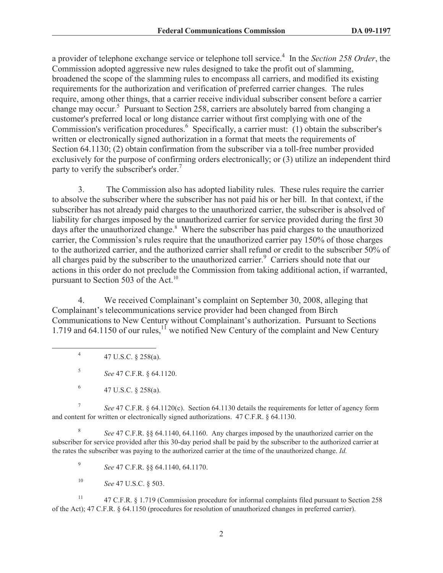a provider of telephone exchange service or telephone toll service.<sup>4</sup> In the *Section 258 Order*, the Commission adopted aggressive new rules designed to take the profit out of slamming, broadened the scope of the slamming rules to encompass all carriers, and modified its existing requirements for the authorization and verification of preferred carrier changes. The rules require, among other things, that a carrier receive individual subscriber consent before a carrier change may occur.<sup>5</sup> Pursuant to Section 258, carriers are absolutely barred from changing a customer's preferred local or long distance carrier without first complying with one of the Commission's verification procedures.<sup>6</sup> Specifically, a carrier must: (1) obtain the subscriber's written or electronically signed authorization in a format that meets the requirements of Section 64.1130; (2) obtain confirmation from the subscriber via a toll-free number provided exclusively for the purpose of confirming orders electronically; or (3) utilize an independent third party to verify the subscriber's order.<sup>7</sup>

3. The Commission also has adopted liability rules. These rules require the carrier to absolve the subscriber where the subscriber has not paid his or her bill. In that context, if the subscriber has not already paid charges to the unauthorized carrier, the subscriber is absolved of liability for charges imposed by the unauthorized carrier for service provided during the first 30 days after the unauthorized change.<sup>8</sup> Where the subscriber has paid charges to the unauthorized carrier, the Commission's rules require that the unauthorized carrier pay 150% of those charges to the authorized carrier, and the authorized carrier shall refund or credit to the subscriber 50% of all charges paid by the subscriber to the unauthorized carrier.<sup>9</sup> Carriers should note that our actions in this order do not preclude the Commission from taking additional action, if warranted, pursuant to Section 503 of the Act.<sup>10</sup>

4. We received Complainant's complaint on September 30, 2008, alleging that Complainant's telecommunications service provider had been changed from Birch Communications to New Century without Complainant's authorization. Pursuant to Sections 1.719 and 64.1150 of our rules, $11$  we notified New Century of the complaint and New Century

7 *See* 47 C.F.R. § 64.1120(c). Section 64.1130 details the requirements for letter of agency form and content for written or electronically signed authorizations. 47 C.F.R. § 64.1130.

8 *See* 47 C.F.R. §§ 64.1140, 64.1160. Any charges imposed by the unauthorized carrier on the subscriber for service provided after this 30-day period shall be paid by the subscriber to the authorized carrier at the rates the subscriber was paying to the authorized carrier at the time of the unauthorized change. *Id.*

9 *See* 47 C.F.R. §§ 64.1140, 64.1170.

<sup>10</sup> *See* 47 U.S.C. § 503.

<sup>11</sup> 47 C.F.R. § 1.719 (Commission procedure for informal complaints filed pursuant to Section 258 of the Act); 47 C.F.R. § 64.1150 (procedures for resolution of unauthorized changes in preferred carrier).

<sup>4</sup> 47 U.S.C. § 258(a).

<sup>5</sup> *See* 47 C.F.R. § 64.1120.

<sup>6</sup> 47 U.S.C. § 258(a).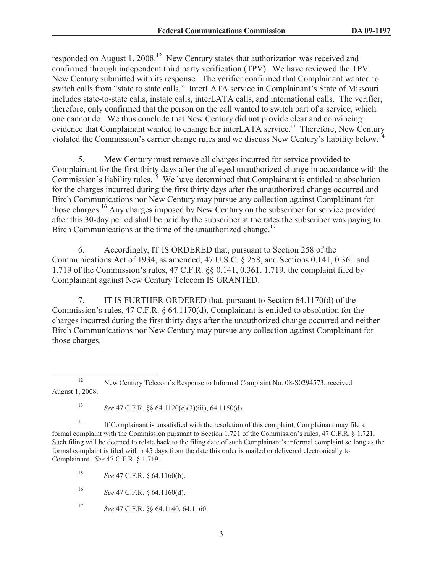responded on August 1, 2008.<sup>12</sup> New Century states that authorization was received and confirmed through independent third party verification (TPV). We have reviewed the TPV. New Century submitted with its response. The verifier confirmed that Complainant wanted to switch calls from "state to state calls." InterLATA service in Complainant's State of Missouri includes state-to-state calls, instate calls, interLATA calls, and international calls. The verifier, therefore, only confirmed that the person on the call wanted to switch part of a service, which one cannot do. We thus conclude that New Century did not provide clear and convincing evidence that Complainant wanted to change her interLATA service.<sup>13</sup> Therefore, New Century violated the Commission's carrier change rules and we discuss New Century's liability below.<sup>14</sup>

5. Mew Century must remove all charges incurred for service provided to Complainant for the first thirty days after the alleged unauthorized change in accordance with the Commission's liability rules.<sup>15</sup> We have determined that Complainant is entitled to absolution for the charges incurred during the first thirty days after the unauthorized change occurred and Birch Communications nor New Century may pursue any collection against Complainant for those charges.<sup>16</sup> Any charges imposed by New Century on the subscriber for service provided after this 30-day period shall be paid by the subscriber at the rates the subscriber was paying to Birch Communications at the time of the unauthorized change.<sup>17</sup>

6. Accordingly, IT IS ORDERED that, pursuant to Section 258 of the Communications Act of 1934, as amended, 47 U.S.C. § 258, and Sections 0.141, 0.361 and 1.719 of the Commission's rules, 47 C.F.R. §§ 0.141, 0.361, 1.719, the complaint filed by Complainant against New Century Telecom IS GRANTED.

7. IT IS FURTHER ORDERED that, pursuant to Section 64.1170(d) of the Commission's rules, 47 C.F.R. § 64.1170(d), Complainant is entitled to absolution for the charges incurred during the first thirty days after the unauthorized change occurred and neither Birch Communications nor New Century may pursue any collection against Complainant for those charges.

<sup>13</sup> *See* 47 C.F.R. §§ 64.1120(c)(3)(iii), 64.1150(d).

<sup>14</sup> If Complainant is unsatisfied with the resolution of this complaint, Complainant may file a formal complaint with the Commission pursuant to Section 1.721 of the Commission's rules, 47 C.F.R. § 1.721. Such filing will be deemed to relate back to the filing date of such Complainant's informal complaint so long as the formal complaint is filed within 45 days from the date this order is mailed or delivered electronically to Complainant. *See* 47 C.F.R. § 1.719.

<sup>15</sup> *See* 47 C.F.R. § 64.1160(b).

<sup>16</sup> *See* 47 C.F.R. § 64.1160(d).

<sup>17</sup> *See* 47 C.F.R. §§ 64.1140, 64.1160.

<sup>&</sup>lt;sup>12</sup> New Century Telecom's Response to Informal Complaint No. 08-S0294573, received August 1, 2008.